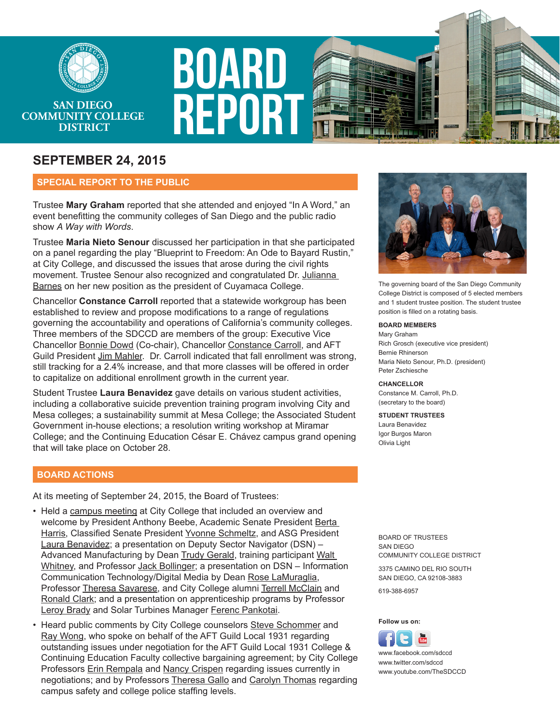

# **SAN DIEGO COMMUNITY COLLEGE DISTRICT**

# **SEPTEMBER 24, 2015**

# **SPECIAL REPORT TO THE PUBLIC**

Trustee **Mary Graham** reported that she attended and enjoyed "In A Word," an event benefitting the community colleges of San Diego and the public radio show *A Way with Words*.

**BOARD** 

**REPOR** 

Trustee **Maria Nieto Senour** discussed her participation in that she participated on a panel regarding the play "Blueprint to Freedom: An Ode to Bayard Rustin," at City College, and discussed the issues that arose during the civil rights movement. Trustee Senour also recognized and congratulated Dr. Julianna Barnes on her new position as the president of Cuyamaca College.

Chancellor **Constance Carroll** reported that a statewide workgroup has been established to review and propose modifications to a range of regulations governing the accountability and operations of California's community colleges. Three members of the SDCCD are members of the group: Executive Vice Chancellor Bonnie Dowd (Co-chair), Chancellor Constance Carroll, and AFT Guild President Jim Mahler. Dr. Carroll indicated that fall enrollment was strong, still tracking for a 2.4% increase, and that more classes will be offered in order to capitalize on additional enrollment growth in the current year.

Student Trustee **Laura Benavidez** gave details on various student activities, including a collaborative suicide prevention training program involving City and Mesa colleges; a sustainability summit at Mesa College; the Associated Student Government in-house elections; a resolution writing workshop at Miramar College; and the Continuing Education César E. Chávez campus grand opening that will take place on October 28.

# **BOARD ACTIONS**

At its meeting of September 24, 2015, the Board of Trustees:

- Held a campus meeting at City College that included an overview and welcome by President Anthony Beebe, Academic Senate President Berta Harris, Classified Senate President Yvonne Schmeltz, and ASG President Laura Benavidez; a presentation on Deputy Sector Navigator (DSN) – Advanced Manufacturing by Dean Trudy Gerald, training participant Walt Whitney, and Professor Jack Bollinger; a presentation on DSN – Information Communication Technology/Digital Media by Dean Rose LaMuraglia, Professor Theresa Savarese, and City College alumni Terrell McClain and Ronald Clark; and a presentation on apprenticeship programs by Professor Leroy Brady and Solar Turbines Manager Ferenc Pankotai.
- Heard public comments by City College counselors Steve Schommer and Ray Wong, who spoke on behalf of the AFT Guild Local 1931 regarding outstanding issues under negotiation for the AFT Guild Local 1931 College & Continuing Education Faculty collective bargaining agreement; by City College Professors **Erin Rempala and Nancy Crispen regarding issues currently in** negotiations; and by Professors Theresa Gallo and Carolyn Thomas regarding campus safety and college police staffing levels.



The governing board of the San Diego Community College District is composed of 5 elected members and 1 student trustee position. The student trustee position is filled on a rotating basis.

## **BOARD MEMBERS**

Mary Graham Rich Grosch (executive vice president) Bernie Rhinerson Maria Nieto Senour, Ph.D. (president) Peter Zschiesche

## **CHANCELLOR**

Constance M. Carroll, Ph.D. (secretary to the board)

## **STUDENT TRUSTEES**

Laura Benavidez Igor Burgos Maron Olivia Light

BOARD OF TRUSTEES SAN DIEGO COMMUNITY COLLEGE DISTRICT

3375 CAMINO DEL RIO SOUTH SAN DIEGO, CA 92108-3883

619-388-6957

## **Follow us on:**



www.youtube.com/TheSDCCD www.facebook.com/sdccd www.twitter.com/sdccd